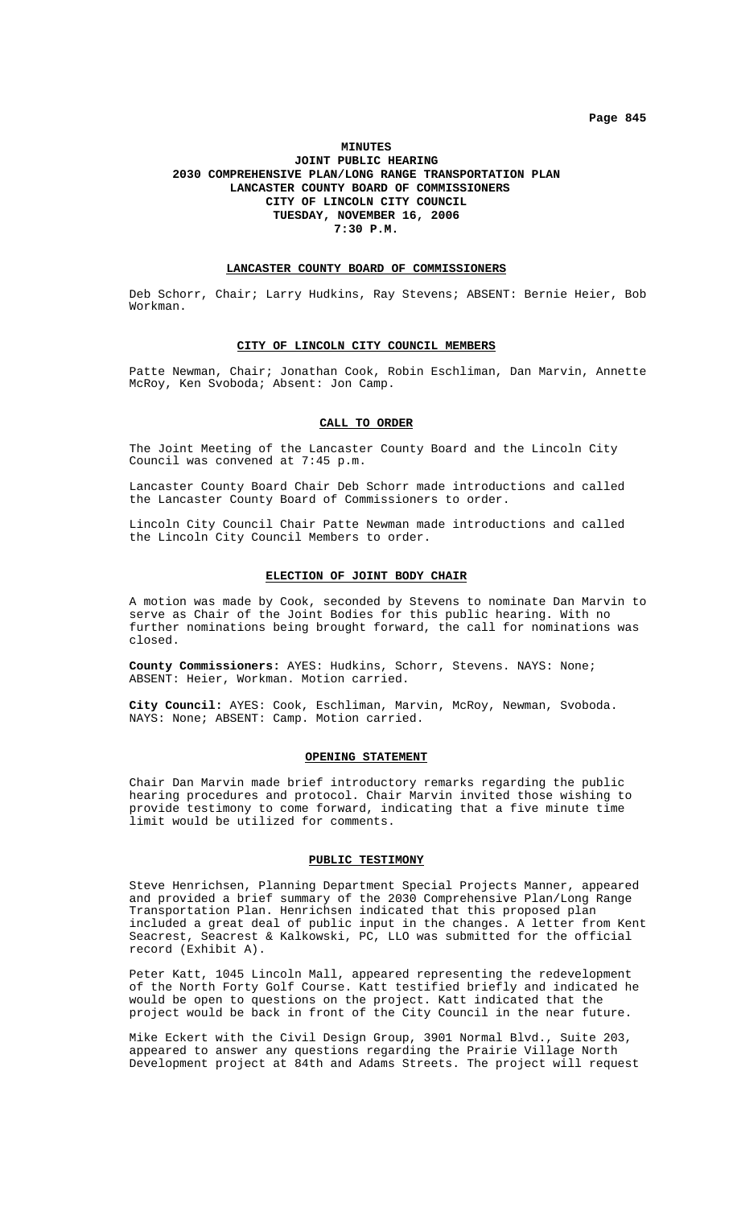**Page 845**

#### **MINUTES**

# **JOINT PUBLIC HEARING 2030 COMPREHENSIVE PLAN/LONG RANGE TRANSPORTATION PLAN LANCASTER COUNTY BOARD OF COMMISSIONERS CITY OF LINCOLN CITY COUNCIL TUESDAY, NOVEMBER 16, 2006 7:30 P.M.**

#### **LANCASTER COUNTY BOARD OF COMMISSIONERS**

Deb Schorr, Chair; Larry Hudkins, Ray Stevens; ABSENT: Bernie Heier, Bob Workman.

# **CITY OF LINCOLN CITY COUNCIL MEMBERS**

Patte Newman, Chair; Jonathan Cook, Robin Eschliman, Dan Marvin, Annette McRoy, Ken Svoboda; Absent: Jon Camp.

## **CALL TO ORDER**

The Joint Meeting of the Lancaster County Board and the Lincoln City Council was convened at 7:45 p.m.

Lancaster County Board Chair Deb Schorr made introductions and called the Lancaster County Board of Commissioners to order.

Lincoln City Council Chair Patte Newman made introductions and called the Lincoln City Council Members to order.

#### **ELECTION OF JOINT BODY CHAIR**

A motion was made by Cook, seconded by Stevens to nominate Dan Marvin to serve as Chair of the Joint Bodies for this public hearing. With no further nominations being brought forward, the call for nominations was closed.

**County Commissioners:** AYES: Hudkins, Schorr, Stevens. NAYS: None; ABSENT: Heier, Workman. Motion carried.

**City Council:** AYES: Cook, Eschliman, Marvin, McRoy, Newman, Svoboda. NAYS: None; ABSENT: Camp. Motion carried.

## **OPENING STATEMENT**

Chair Dan Marvin made brief introductory remarks regarding the public hearing procedures and protocol. Chair Marvin invited those wishing to provide testimony to come forward, indicating that a five minute time limit would be utilized for comments.

### **PUBLIC TESTIMONY**

Steve Henrichsen, Planning Department Special Projects Manner, appeared and provided a brief summary of the 2030 Comprehensive Plan/Long Range Transportation Plan. Henrichsen indicated that this proposed plan included a great deal of public input in the changes. A letter from Kent Seacrest, Seacrest & Kalkowski, PC, LLO was submitted for the official record (Exhibit A).

Peter Katt, 1045 Lincoln Mall, appeared representing the redevelopment of the North Forty Golf Course. Katt testified briefly and indicated he would be open to questions on the project. Katt indicated that the project would be back in front of the City Council in the near future.

Mike Eckert with the Civil Design Group, 3901 Normal Blvd., Suite 203, appeared to answer any questions regarding the Prairie Village North Development project at 84th and Adams Streets. The project will request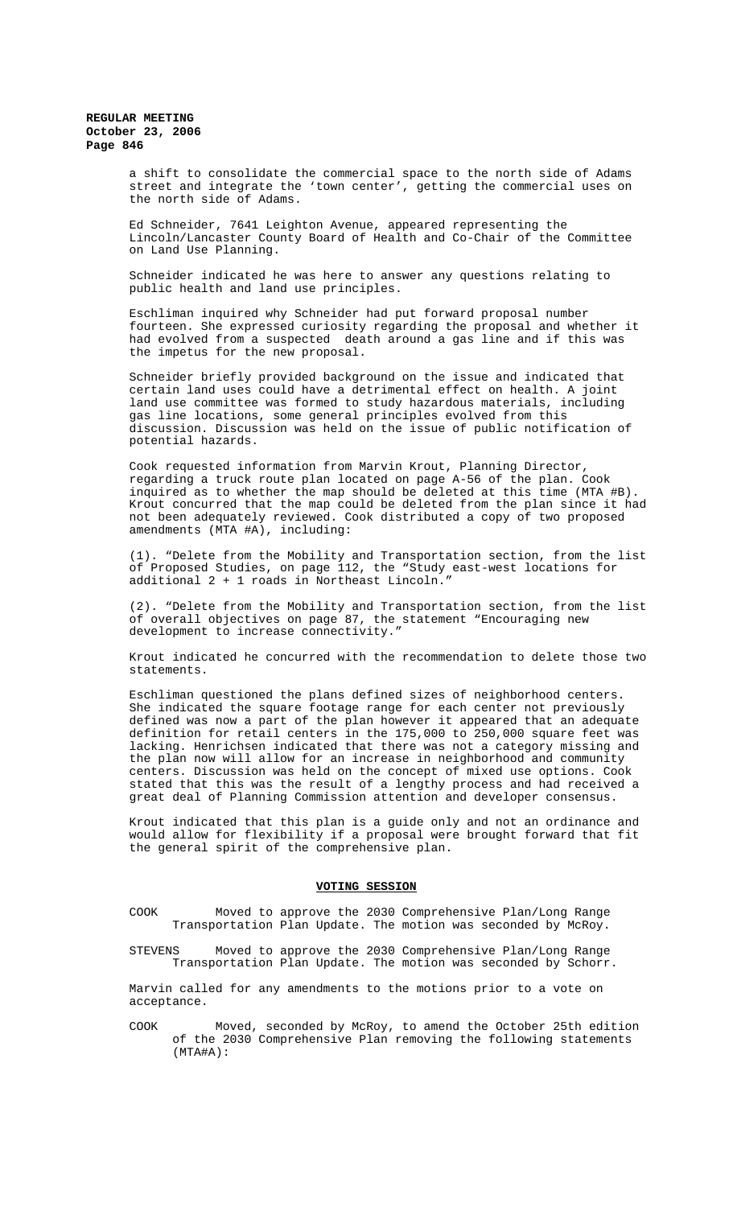**REGULAR MEETING October 23, 2006 Page 846**

> a shift to consolidate the commercial space to the north side of Adams street and integrate the 'town center', getting the commercial uses on the north side of Adams.

> Ed Schneider, 7641 Leighton Avenue, appeared representing the Lincoln/Lancaster County Board of Health and Co-Chair of the Committee on Land Use Planning.

Schneider indicated he was here to answer any questions relating to public health and land use principles.

Eschliman inquired why Schneider had put forward proposal number fourteen. She expressed curiosity regarding the proposal and whether it had evolved from a suspected death around a gas line and if this was the impetus for the new proposal.

Schneider briefly provided background on the issue and indicated that certain land uses could have a detrimental effect on health. A joint land use committee was formed to study hazardous materials, including gas line locations, some general principles evolved from this discussion. Discussion was held on the issue of public notification of potential hazards.

Cook requested information from Marvin Krout, Planning Director, regarding a truck route plan located on page A-56 of the plan. Cook inquired as to whether the map should be deleted at this time (MTA #B). Krout concurred that the map could be deleted from the plan since it had not been adequately reviewed. Cook distributed a copy of two proposed amendments (MTA #A), including:

(1). "Delete from the Mobility and Transportation section, from the list of Proposed Studies, on page 112, the "Study east-west locations for additional  $2 + 1$  roads in Northeast Lincoln.'

(2). "Delete from the Mobility and Transportation section, from the list of overall objectives on page 87, the statement "Encouraging new development to increase connectivity."

Krout indicated he concurred with the recommendation to delete those two statements.

Eschliman questioned the plans defined sizes of neighborhood centers. She indicated the square footage range for each center not previously defined was now a part of the plan however it appeared that an adequate definition for retail centers in the 175,000 to 250,000 square feet was lacking. Henrichsen indicated that there was not a category missing and the plan now will allow for an increase in neighborhood and community centers. Discussion was held on the concept of mixed use options. Cook stated that this was the result of a lengthy process and had received a great deal of Planning Commission attention and developer consensus.

Krout indicated that this plan is a guide only and not an ordinance and would allow for flexibility if a proposal were brought forward that fit the general spirit of the comprehensive plan.

#### **VOTING SESSION**

COOK Moved to approve the 2030 Comprehensive Plan/Long Range Transportation Plan Update. The motion was seconded by McRoy.

STEVENS Moved to approve the 2030 Comprehensive Plan/Long Range Transportation Plan Update. The motion was seconded by Schorr.

Marvin called for any amendments to the motions prior to a vote on acceptance.

COOK Moved, seconded by McRoy, to amend the October 25th edition of the 2030 Comprehensive Plan removing the following statements (MTA#A):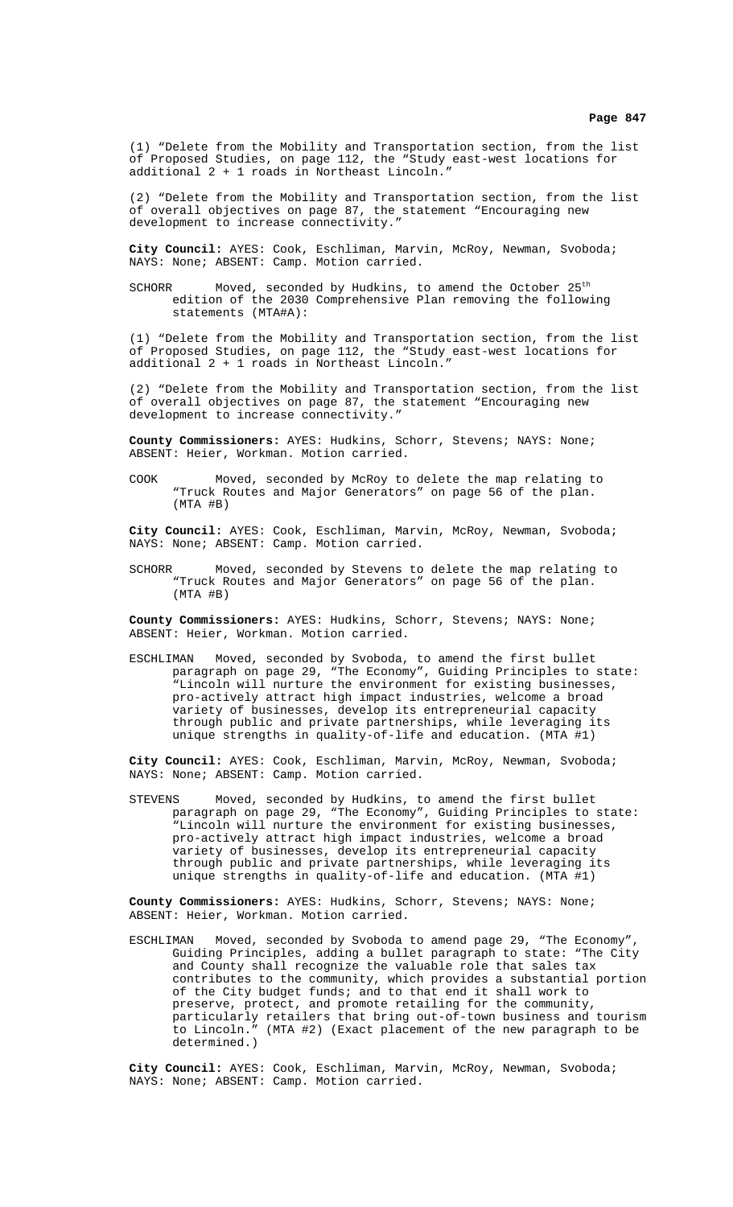(1) "Delete from the Mobility and Transportation section, from the list of Proposed Studies, on page 112, the "Study east-west locations for additional 2 + 1 roads in Northeast Lincoln."

(2) "Delete from the Mobility and Transportation section, from the list of overall objectives on page 87, the statement "Encouraging new development to increase connectivity.'

**City Council:** AYES: Cook, Eschliman, Marvin, McRoy, Newman, Svoboda; NAYS: None; ABSENT: Camp. Motion carried.

SCHORR Moved, seconded by Hudkins, to amend the October  $25<sup>th</sup>$ edition of the 2030 Comprehensive Plan removing the following statements (MTA#A):

(1) "Delete from the Mobility and Transportation section, from the list of Proposed Studies, on page 112, the "Study east-west locations for additional 2 + 1 roads in Northeast Lincoln."

(2) "Delete from the Mobility and Transportation section, from the list of overall objectives on page 87, the statement "Encouraging new development to increase connectivity."

**County Commissioners:** AYES: Hudkins, Schorr, Stevens; NAYS: None; ABSENT: Heier, Workman. Motion carried.

COOK Moved, seconded by McRoy to delete the map relating to "Truck Routes and Major Generators" on page 56 of the plan.  $(MTA \#B)$ 

**City Council:** AYES: Cook, Eschliman, Marvin, McRoy, Newman, Svoboda; NAYS: None; ABSENT: Camp. Motion carried.

SCHORR Moved, seconded by Stevens to delete the map relating to "Truck Routes and Major Generators" on page 56 of the plan. (MTA #B)

**County Commissioners:** AYES: Hudkins, Schorr, Stevens; NAYS: None; ABSENT: Heier, Workman. Motion carried.

ESCHLIMAN Moved, seconded by Svoboda, to amend the first bullet paragraph on page 29, "The Economy", Guiding Principles to state: .<br>"Lincoln will nurture the environment for existing businesses, pro-actively attract high impact industries, welcome a broad variety of businesses, develop its entrepreneurial capacity through public and private partnerships, while leveraging its unique strengths in quality-of-life and education. (MTA #1)

**City Council:** AYES: Cook, Eschliman, Marvin, McRoy, Newman, Svoboda; NAYS: None; ABSENT: Camp. Motion carried.

STEVENS Moved, seconded by Hudkins, to amend the first bullet paragraph on page 29, "The Economy", Guiding Principles to state: "Lincoln will nurture the environment for existing businesses, pro-actively attract high impact industries, welcome a broad variety of businesses, develop its entrepreneurial capacity through public and private partnerships, while leveraging its unique strengths in quality-of-life and education. (MTA #1)

**County Commissioners:** AYES: Hudkins, Schorr, Stevens; NAYS: None; ABSENT: Heier, Workman. Motion carried.

ESCHLIMAN Moved, seconded by Svoboda to amend page 29, "The Economy", Guiding Principles, adding a bullet paragraph to state: "The City and County shall recognize the valuable role that sales tax contributes to the community, which provides a substantial portion of the City budget funds; and to that end it shall work to preserve, protect, and promote retailing for the community, particularly retailers that bring out-of-town business and tourism<br>to Lincoln." (MTA #2) (Exact placement of the new paragraph to be (MTA #2) (Exact placement of the new paragraph to be determined.)

**City Council:** AYES: Cook, Eschliman, Marvin, McRoy, Newman, Svoboda; NAYS: None; ABSENT: Camp. Motion carried.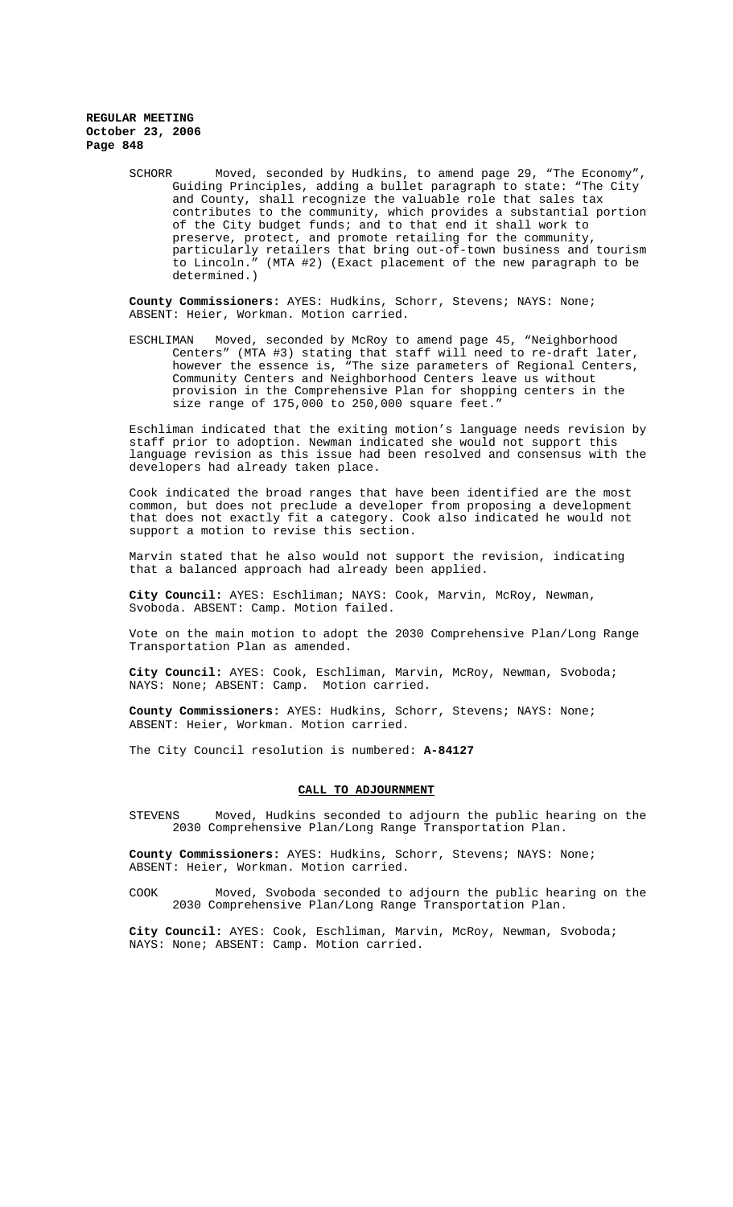## **REGULAR MEETING October 23, 2006 Page 848**

SCHORR Moved, seconded by Hudkins, to amend page 29, "The Economy", Guiding Principles, adding a bullet paragraph to state: "The City and County, shall recognize the valuable role that sales tax contributes to the community, which provides a substantial portion of the City budget funds; and to that end it shall work to preserve, protect, and promote retailing for the community, particularly retailers that bring out-of-town business and tourism to Lincoln." (MTA #2) (Exact placement of the new paragraph to be determined.)

**County Commissioners:** AYES: Hudkins, Schorr, Stevens; NAYS: None; ABSENT: Heier, Workman. Motion carried.

ESCHLIMAN Moved, seconded by McRoy to amend page 45, "Neighborhood Centers" (MTA #3) stating that staff will need to re-draft later, however the essence is, "The size parameters of Regional Centers, Community Centers and Neighborhood Centers leave us without provision in the Comprehensive Plan for shopping centers in the size range of 175,000 to 250,000 square feet."

Eschliman indicated that the exiting motion's language needs revision by staff prior to adoption. Newman indicated she would not support this language revision as this issue had been resolved and consensus with the developers had already taken place.

Cook indicated the broad ranges that have been identified are the most common, but does not preclude a developer from proposing a development that does not exactly fit a category. Cook also indicated he would not support a motion to revise this section.

Marvin stated that he also would not support the revision, indicating that a balanced approach had already been applied.

**City Council:** AYES: Eschliman; NAYS: Cook, Marvin, McRoy, Newman, Svoboda. ABSENT: Camp. Motion failed.

Vote on the main motion to adopt the 2030 Comprehensive Plan/Long Range Transportation Plan as amended.

**City Council:** AYES: Cook, Eschliman, Marvin, McRoy, Newman, Svoboda; NAYS: None; ABSENT: Camp. Motion carried.

**County Commissioners:** AYES: Hudkins, Schorr, Stevens; NAYS: None; ABSENT: Heier, Workman. Motion carried.

The City Council resolution is numbered: **A-84127**

## **CALL TO ADJOURNMENT**

STEVENS Moved, Hudkins seconded to adjourn the public hearing on the 2030 Comprehensive Plan/Long Range Transportation Plan.

**County Commissioners:** AYES: Hudkins, Schorr, Stevens; NAYS: None; ABSENT: Heier, Workman. Motion carried.

COOK Moved, Svoboda seconded to adjourn the public hearing on the 2030 Comprehensive Plan/Long Range Transportation Plan.

**City Council:** AYES: Cook, Eschliman, Marvin, McRoy, Newman, Svoboda; NAYS: None; ABSENT: Camp. Motion carried.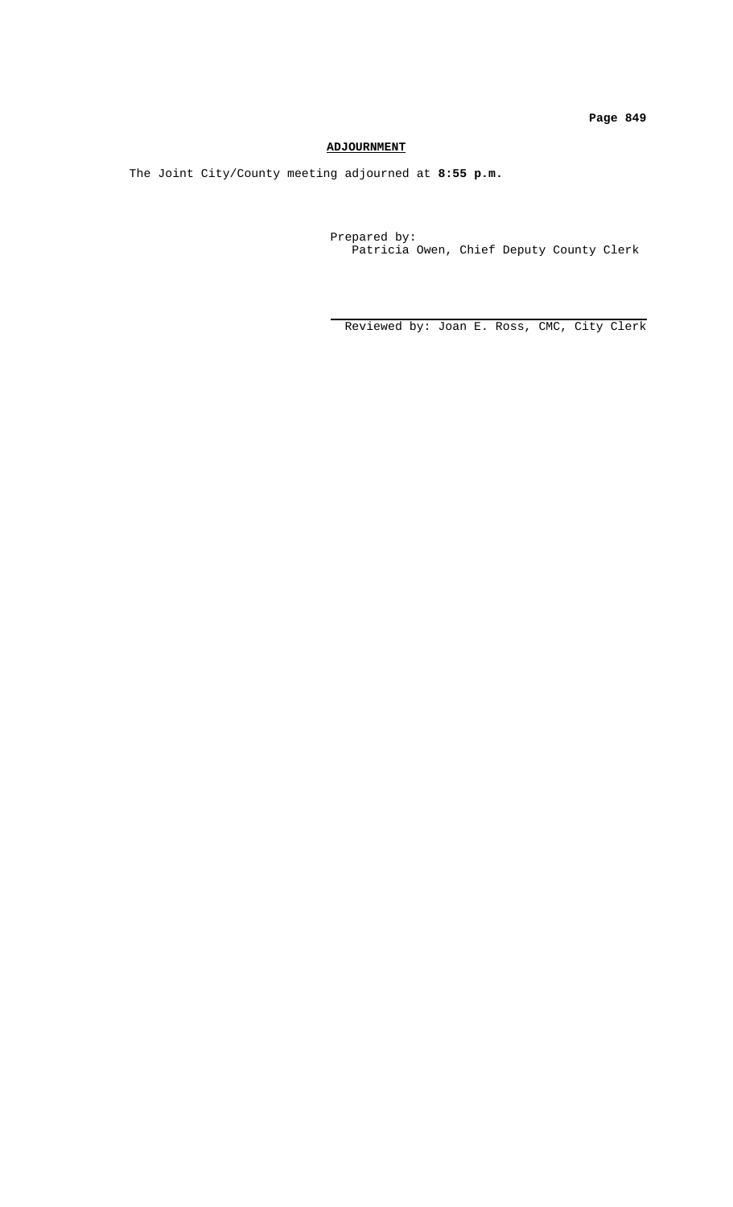**Page 849**

# **ADJOURNMENT**

The Joint City/County meeting adjourned at **8:55 p.m.**

 Prepared by: Patricia Owen, Chief Deputy County Clerk

Reviewed by: Joan E. Ross, CMC, City Clerk